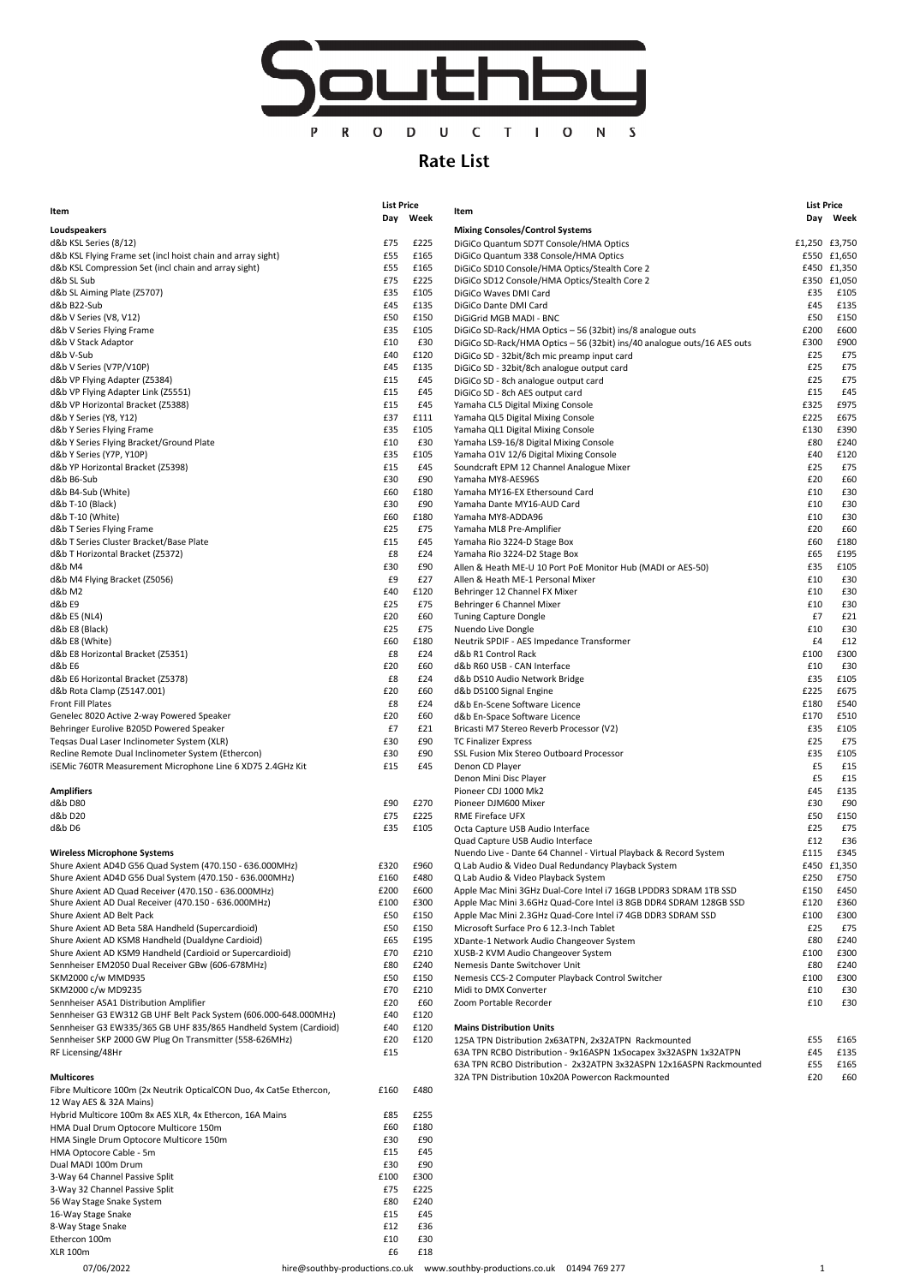

## Rate List

|                                                                                                               | <b>List Price</b> |              |                                                                             | <b>List Price</b> |                            |
|---------------------------------------------------------------------------------------------------------------|-------------------|--------------|-----------------------------------------------------------------------------|-------------------|----------------------------|
| Item                                                                                                          |                   | Day Week     | Item                                                                        |                   | Day Week                   |
| Loudspeakers                                                                                                  |                   |              | <b>Mixing Consoles/Control Systems</b>                                      |                   |                            |
| d&b KSL Series (8/12)                                                                                         | £75               | £225         | DiGiCo Quantum SD7T Console/HMA Optics                                      |                   | £1,250 £3,750              |
| d&b KSL Flying Frame set (incl hoist chain and array sight)                                                   | £55               | £165         | DiGiCo Quantum 338 Console/HMA Optics                                       |                   | £550 £1,650                |
| d&b KSL Compression Set (incl chain and array sight)<br>d&b SL Sub                                            | £55<br>£75        | £165<br>£225 | DiGiCo SD10 Console/HMA Optics/Stealth Core 2                               |                   | £450 £1,350<br>£350 £1,050 |
| d&b SL Aiming Plate (Z5707)                                                                                   | £35               | £105         | DiGiCo SD12 Console/HMA Optics/Stealth Core 2<br>DiGiCo Waves DMI Card      | £35               | £105                       |
| d&b B22-Sub                                                                                                   | £45               | £135         | DiGiCo Dante DMI Card                                                       | £45               | £135                       |
| d&b V Series (V8, V12)                                                                                        | £50               | £150         | DiGiGrid MGB MADI - BNC                                                     | £50               | £150                       |
| d&b V Series Flying Frame                                                                                     | £35               | £105         | DiGiCo SD-Rack/HMA Optics - 56 (32bit) ins/8 analogue outs                  | £200              | £600                       |
| d&b V Stack Adaptor                                                                                           | £10               | £30          | DiGiCo SD-Rack/HMA Optics - 56 (32bit) ins/40 analogue outs/16 AES outs     | £300              | £900                       |
| d&b V-Sub                                                                                                     | £40               | £120         | DiGiCo SD - 32bit/8ch mic preamp input card                                 | £25               | £75                        |
| d&b V Series (V7P/V10P)                                                                                       | £45               | £135         | DiGiCo SD - 32bit/8ch analogue output card                                  | £25               | £75                        |
| d&b VP Flying Adapter (Z5384)                                                                                 | £15               | £45          | DiGiCo SD - 8ch analogue output card                                        | £25               | £75                        |
| d&b VP Flying Adapter Link (Z5551)                                                                            | £15               | £45          | DiGiCo SD - 8ch AES output card                                             | £15               | £45                        |
| d&b VP Horizontal Bracket (Z5388)                                                                             | £15               | £45          | Yamaha CL5 Digital Mixing Console                                           | £325              | £975                       |
| d&b Y Series (Y8, Y12)                                                                                        | £37<br>£35        | £111<br>£105 | Yamaha QL5 Digital Mixing Console                                           | £225<br>£130      | £675<br>£390               |
| d&b Y Series Flying Frame<br>d&b Y Series Flying Bracket/Ground Plate                                         | £10               | £30          | Yamaha QL1 Digital Mixing Console<br>Yamaha LS9-16/8 Digital Mixing Console | £80               | £240                       |
| d&b Y Series (Y7P, Y10P)                                                                                      | £35               | £105         | Yamaha O1V 12/6 Digital Mixing Console                                      | £40               | £120                       |
| d&b YP Horizontal Bracket (Z5398)                                                                             | £15               | £45          | Soundcraft EPM 12 Channel Analogue Mixer                                    | £25               | £75                        |
| d&b B6-Sub                                                                                                    | £30               | £90          | Yamaha MY8-AES96S                                                           | £20               | £60                        |
| d&b B4-Sub (White)                                                                                            | £60               | £180         | Yamaha MY16-EX Ethersound Card                                              | £10               | £30                        |
| d&b T-10 (Black)                                                                                              | £30               | £90          | Yamaha Dante MY16-AUD Card                                                  | £10               | £30                        |
| d&b T-10 (White)                                                                                              | £60               | £180         | Yamaha MY8-ADDA96                                                           | £10               | £30                        |
| d&b T Series Flying Frame                                                                                     | £25               | £75          | Yamaha ML8 Pre-Amplifier                                                    | £20               | £60                        |
| d&b T Series Cluster Bracket/Base Plate                                                                       | £15               | £45          | Yamaha Rio 3224-D Stage Box                                                 | £60               | £180                       |
| d&b T Horizontal Bracket (Z5372)                                                                              | £8                | £24          | Yamaha Rio 3224-D2 Stage Box                                                | £65               | £195                       |
| d&b M4                                                                                                        | £30               | £90          | Allen & Heath ME-U 10 Port PoE Monitor Hub (MADI or AES-50)                 | £35               | £105                       |
| d&b M4 Flying Bracket (Z5056)                                                                                 | £9                | £27          | Allen & Heath ME-1 Personal Mixer                                           | £10               | £30                        |
| d&b M2                                                                                                        | £40               | £120         | Behringer 12 Channel FX Mixer                                               | £10               | £30                        |
| d&b E9                                                                                                        | £25               | £75          | Behringer 6 Channel Mixer                                                   | £10               | £30                        |
| d&b E5 (NL4)                                                                                                  | £20               | £60          | <b>Tuning Capture Dongle</b>                                                | £7                | £21                        |
| d&b E8 (Black)                                                                                                | £25               | £75          | Nuendo Live Dongle                                                          | £10               | £30                        |
| d&b E8 (White)                                                                                                | £60               | £180         | Neutrik SPDIF - AES Impedance Transformer                                   | £4                | £12                        |
| d&b E8 Horizontal Bracket (Z5351)                                                                             | £8                | £24          | d&b R1 Control Rack                                                         | £100              | £300                       |
| d&b E6                                                                                                        | £20<br>£8         | £60<br>£24   | d&b R60 USB - CAN Interface<br>d&b DS10 Audio Network Bridge                | £10<br>£35        | £30<br>£105                |
| d&b E6 Horizontal Bracket (Z5378)<br>d&b Rota Clamp (Z5147.001)                                               | £20               | £60          | d&b DS100 Signal Engine                                                     | £225              | £675                       |
| <b>Front Fill Plates</b>                                                                                      | £8                | £24          | d&b En-Scene Software Licence                                               | £180              | £540                       |
| Genelec 8020 Active 2-way Powered Speaker                                                                     | £20               | £60          | d&b En-Space Software Licence                                               | £170              | £510                       |
| Behringer Eurolive B205D Powered Speaker                                                                      | £7                | £21          | Bricasti M7 Stereo Reverb Processor (V2)                                    | £35               | £105                       |
| Teqsas Dual Laser Inclinometer System (XLR)                                                                   | £30               | £90          | <b>TC Finalizer Express</b>                                                 | £25               | £75                        |
| Recline Remote Dual Inclinometer System (Ethercon)                                                            | £30               | £90          | SSL Fusion Mix Stereo Outboard Processor                                    | £35               | £105                       |
| iSEMic 760TR Measurement Microphone Line 6 XD75 2.4GHz Kit                                                    | £15               | £45          | Denon CD Player                                                             | £5                | £15                        |
|                                                                                                               |                   |              | Denon Mini Disc Player                                                      | £5                | £15                        |
| <b>Amplifiers</b>                                                                                             |                   |              | Pioneer CDJ 1000 Mk2                                                        | £45               | £135                       |
| d&b D80                                                                                                       | £90               | £270         | Pioneer DJM600 Mixer                                                        | £30               | £90                        |
| d&b D20                                                                                                       | £75               | £225         | RME Fireface UFX                                                            | £50               | £150                       |
| d&b D6                                                                                                        | £35               | £105         | Octa Capture USB Audio Interface                                            | £25               | £75                        |
|                                                                                                               |                   |              | Quad Capture USB Audio Interface                                            | £12               | £36                        |
| <b>Wireless Microphone Systems</b>                                                                            |                   |              | Nuendo Live - Dante 64 Channel - Virtual Playback & Record System           | £115              | £345                       |
| Shure Axient AD4D G56 Quad System (470.150 - 636.000MHz)                                                      | £320              | £960         | Q Lab Audio & Video Dual Redundancy Playback System                         |                   | £450 £1,350                |
| Shure Axient AD4D G56 Dual System (470.150 - 636.000MHz)                                                      | £160              | £480         | Q Lab Audio & Video Playback System                                         | £250              | £750                       |
| Shure Axient AD Quad Receiver (470.150 - 636.000MHz)                                                          | £200              | £600         | Apple Mac Mini 3GHz Dual-Core Intel i7 16GB LPDDR3 SDRAM 1TB SSD            | £150              | £450                       |
| Shure Axient AD Dual Receiver (470.150 - 636.000MHz)                                                          | £100              | £300         | Apple Mac Mini 3.6GHz Quad-Core Intel i3 8GB DDR4 SDRAM 128GB SSD           | £120              | £360                       |
| Shure Axient AD Belt Pack                                                                                     | £50               | £150         | Apple Mac Mini 2.3GHz Quad-Core Intel i7 4GB DDR3 SDRAM SSD                 | £100              | £300                       |
| Shure Axient AD Beta 58A Handheld (Supercardioid)                                                             | £50               | £150         | Microsoft Surface Pro 6 12.3-Inch Tablet                                    | £25               | £75                        |
| Shure Axient AD KSM8 Handheld (Dualdyne Cardioid)                                                             | £65               | £195         | XDante-1 Network Audio Changeover System                                    | £80               | £240                       |
| Shure Axient AD KSM9 Handheld (Cardioid or Supercardioid)<br>Sennheiser EM2050 Dual Receiver GBw (606-678MHz) | £70<br>£80        | £210<br>£240 | XUSB-2 KVM Audio Changeover System<br>Nemesis Dante Switchover Unit         | £100<br>£80       | £300<br>£240               |
| SKM2000 c/w MMD935                                                                                            | £50               | £150         | Nemesis CCS-2 Computer Playback Control Switcher                            | £100              | £300                       |
| SKM2000 c/w MD9235                                                                                            | £70               | £210         | Midi to DMX Converter                                                       | £10               | £30                        |
| Sennheiser ASA1 Distribution Amplifier                                                                        | £20               | £60          | Zoom Portable Recorder                                                      | £10               | £30                        |
| Sennheiser G3 EW312 GB UHF Belt Pack System (606.000-648.000MHz)                                              | £40               | £120         |                                                                             |                   |                            |
| Sennheiser G3 EW335/365 GB UHF 835/865 Handheld System (Cardioid)                                             | £40               | £120         | <b>Mains Distribution Units</b>                                             |                   |                            |
| Sennheiser SKP 2000 GW Plug On Transmitter (558-626MHz)                                                       | £20               | £120         | 125A TPN Distribution 2x63ATPN, 2x32ATPN Rackmounted                        | £55               | £165                       |
| RF Licensing/48Hr                                                                                             | £15               |              | 63A TPN RCBO Distribution - 9x16ASPN 1xSocapex 3x32ASPN 1x32ATPN            | £45               | £135                       |
|                                                                                                               |                   |              | 63A TPN RCBO Distribution - 2x32ATPN 3x32ASPN 12x16ASPN Rackmounted         | £55               | £165                       |
| <b>Multicores</b>                                                                                             |                   |              | 32A TPN Distribution 10x20A Powercon Rackmounted                            | £20               | £60                        |
| Fibre Multicore 100m (2x Neutrik OpticalCON Duo, 4x Cat5e Ethercon,                                           | £160              | £480         |                                                                             |                   |                            |
| 12 Way AES & 32A Mains)                                                                                       |                   |              |                                                                             |                   |                            |
| Hybrid Multicore 100m 8x AES XLR, 4x Ethercon, 16A Mains                                                      | £85               | £255         |                                                                             |                   |                            |
| HMA Dual Drum Optocore Multicore 150m                                                                         | £60               | £180         |                                                                             |                   |                            |
| HMA Single Drum Optocore Multicore 150m                                                                       | £30               | £90          |                                                                             |                   |                            |
| HMA Optocore Cable - 5m                                                                                       | £15               | £45          |                                                                             |                   |                            |
| Dual MADI 100m Drum                                                                                           | £30               | £90          |                                                                             |                   |                            |
| 3-Way 64 Channel Passive Split                                                                                | £100              | £300         |                                                                             |                   |                            |
| 3-Way 32 Channel Passive Split                                                                                | £75               | £225         |                                                                             |                   |                            |
| 56 Way Stage Snake System                                                                                     | £80               | £240         |                                                                             |                   |                            |
| 16-Way Stage Snake                                                                                            | £15               | £45          |                                                                             |                   |                            |
| 8-Way Stage Snake                                                                                             | £12               | £36          |                                                                             |                   |                            |
| Ethercon 100m                                                                                                 | £10               | £30          |                                                                             |                   |                            |
| <b>XLR 100m</b>                                                                                               | £6                | £18          |                                                                             |                   |                            |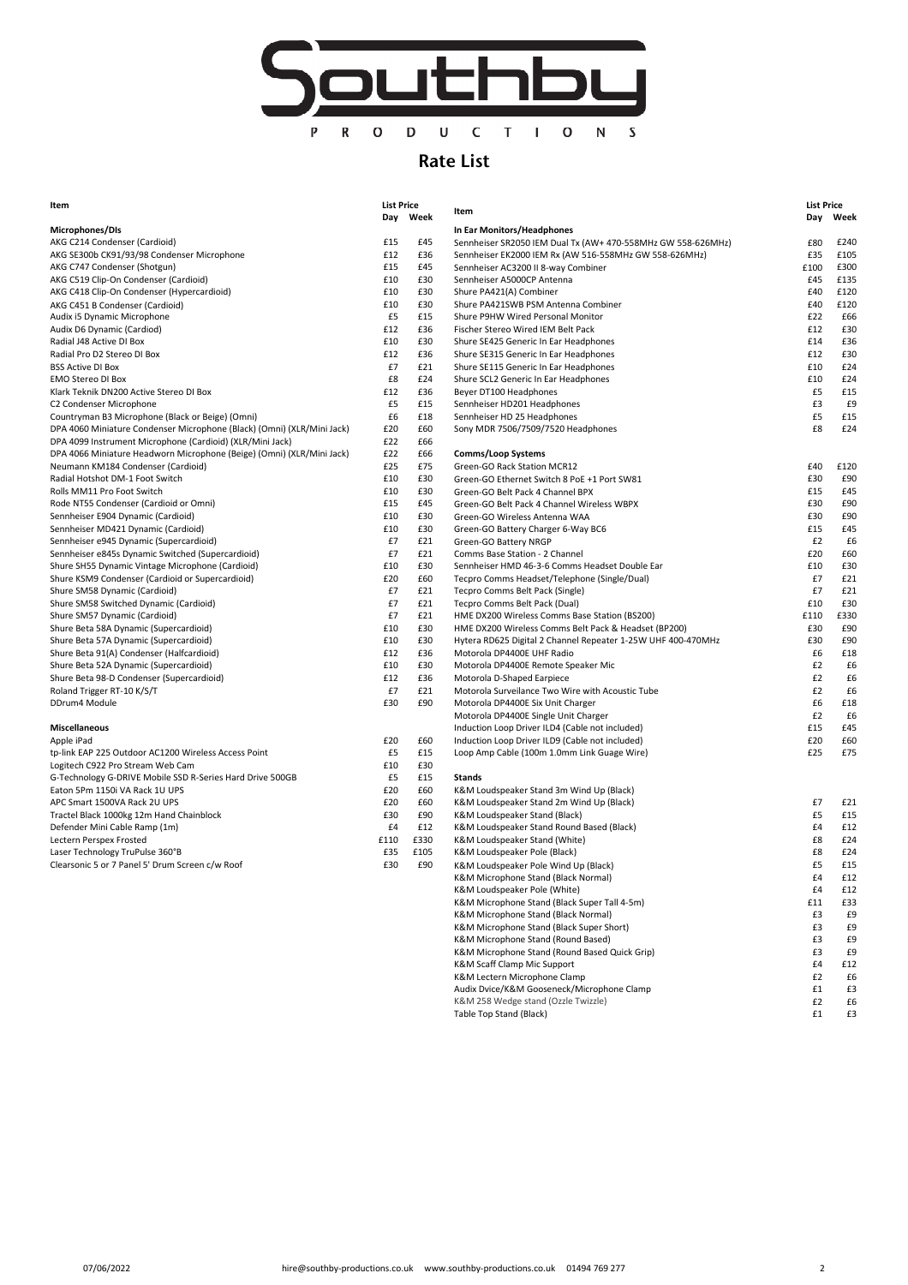

## Rate List

| ιτem                                                                   | LIST Price |          | Item                                          |  |  |
|------------------------------------------------------------------------|------------|----------|-----------------------------------------------|--|--|
|                                                                        |            | Day Week |                                               |  |  |
| Microphones/DIs                                                        |            |          | In Ear Monitors/Headphones                    |  |  |
| AKG C214 Condenser (Cardioid)                                          | £15        | £45      | Sennheiser SR2050 IEM Dual Tx (AW+ 470-55     |  |  |
| AKG SE300b CK91/93/98 Condenser Microphone                             | £12        | £36      | Sennheiser EK2000 IEM Rx (AW 516-558MHz       |  |  |
| AKG C747 Condenser (Shotgun)                                           | £15        | £45      | Sennheiser AC3200 II 8-way Combiner           |  |  |
| AKG C519 Clip-On Condenser (Cardioid)                                  | £10        | £30      | Sennheiser A5000CP Antenna                    |  |  |
| AKG C418 Clip-On Condenser (Hypercardioid)                             | £10        | £30      | Shure PA421(A) Combiner                       |  |  |
| AKG C451 B Condenser (Cardioid)                                        | £10        | £30      | Shure PA421SWB PSM Antenna Combiner           |  |  |
| Audix i5 Dynamic Microphone                                            | £5         | £15      | Shure P9HW Wired Personal Monitor             |  |  |
| Audix D6 Dynamic (Cardiod)                                             | £12        | £36      | Fischer Stereo Wired IEM Belt Pack            |  |  |
| Radial J48 Active DI Box                                               | £10        | £30      | Shure SE425 Generic In Ear Headphones         |  |  |
| Radial Pro D2 Stereo DI Box                                            | £12        | £36      | Shure SE315 Generic In Ear Headphones         |  |  |
| <b>BSS Active DI Box</b>                                               | £7         | £21      | Shure SE115 Generic In Ear Headphones         |  |  |
| <b>EMO Stereo DI Box</b>                                               | £8         | £24      | Shure SCL2 Generic In Ear Headphones          |  |  |
| Klark Teknik DN200 Active Stereo DI Box                                | £12        | £36      | Beyer DT100 Headphones                        |  |  |
| C2 Condenser Microphone                                                | £5         | £15      | Sennheiser HD201 Headphones                   |  |  |
| Countryman B3 Microphone (Black or Beige) (Omni)                       | £6         | £18      | Sennheiser HD 25 Headphones                   |  |  |
| DPA 4060 Miniature Condenser Microphone (Black) (Omni) (XLR/Mini Jack) | £20        | £60      | Sony MDR 7506/7509/7520 Headphones            |  |  |
| DPA 4099 Instrument Microphone (Cardioid) (XLR/Mini Jack)              | £22        | £66      |                                               |  |  |
| DPA 4066 Miniature Headworn Microphone (Beige) (Omni) (XLR/Mini Jack)  | £22        | £66      | Comms/Loop Systems                            |  |  |
| Neumann KM184 Condenser (Cardioid)                                     | £25        | £75      | Green-GO Rack Station MCR12                   |  |  |
| Radial Hotshot DM-1 Foot Switch                                        | £10        | £30      | Green-GO Ethernet Switch 8 PoE +1 Port SW8    |  |  |
| Rolls MM11 Pro Foot Switch                                             | £10        | £30      | Green-GO Belt Pack 4 Channel BPX              |  |  |
| Rode NT55 Condenser (Cardioid or Omni)                                 | £15        | £45      | Green-GO Belt Pack 4 Channel Wireless WBP.    |  |  |
| Sennheiser E904 Dynamic (Cardioid)                                     | £10        | £30      | Green-GO Wireless Antenna WAA                 |  |  |
| Sennheiser MD421 Dynamic (Cardioid)                                    | £10        | £30      | Green-GO Battery Charger 6-Way BC6            |  |  |
| Sennheiser e945 Dynamic (Supercardioid)                                | £7         | £21      | Green-GO Battery NRGP                         |  |  |
| Sennheiser e845s Dynamic Switched (Supercardioid)                      | £7         | £21      | Comms Base Station - 2 Channel                |  |  |
| Shure SH55 Dynamic Vintage Microphone (Cardioid)                       | £10        | £30      | Sennheiser HMD 46-3-6 Comms Headset Dou       |  |  |
| Shure KSM9 Condenser (Cardioid or Supercardioid)                       | £20        | £60      | Tecpro Comms Headset/Telephone (Single/D      |  |  |
| Shure SM58 Dynamic (Cardioid)                                          | £7         | £21      | Tecpro Comms Belt Pack (Single)               |  |  |
| Shure SM58 Switched Dynamic (Cardioid)                                 | £7         | £21      | Tecpro Comms Belt Pack (Dual)                 |  |  |
| Shure SM57 Dynamic (Cardioid)                                          | £7         | £21      | HME DX200 Wireless Comms Base Station (B)     |  |  |
| Shure Beta 58A Dynamic (Supercardioid)                                 | £10        | £30      | HME DX200 Wireless Comms Belt Pack & Hea      |  |  |
| Shure Beta 57A Dynamic (Supercardioid)                                 | £10        | £30      | Hytera RD625 Digital 2 Channel Repeater 1-2   |  |  |
| Shure Beta 91(A) Condenser (Halfcardioid)                              | £12        | £36      | Motorola DP4400E UHF Radio                    |  |  |
| Shure Beta 52A Dynamic (Supercardioid)                                 | £10        | £30      | Motorola DP4400E Remote Speaker Mic           |  |  |
| Shure Beta 98-D Condenser (Supercardioid)                              | £12        | £36      | Motorola D-Shaped Earpiece                    |  |  |
| Roland Trigger RT-10 K/S/T                                             | £7         | £21      | Motorola Surveilance Two Wire with Acoustic   |  |  |
| DDrum4 Module                                                          | £30        | £90      | Motorola DP4400E Six Unit Charger             |  |  |
|                                                                        |            |          | Motorola DP4400E Single Unit Charger          |  |  |
| <b>Miscellaneous</b>                                                   |            |          | Induction Loop Driver ILD4 (Cable not include |  |  |
| Apple iPad                                                             | £20        | £60      | Induction Loop Driver ILD9 (Cable not include |  |  |
| tp-link EAP 225 Outdoor AC1200 Wireless Access Point                   | £5         | £15      | Loop Amp Cable (100m 1.0mm Link Guage W       |  |  |
| Logitech C922 Pro Stream Web Cam                                       | £10        | £30      |                                               |  |  |
| G-Technology G-DRIVE Mobile SSD R-Series Hard Drive 500GB              | £5         | £15      | Stands                                        |  |  |
| Eaton 5Pm 1150i VA Rack 1U UPS                                         | £20        | £60      | K&M Loudspeaker Stand 3m Wind Up (Black)      |  |  |
| APC Smart 1500VA Rack 2U UPS                                           | £20        | £60      | K&M Loudspeaker Stand 2m Wind Up (Black)      |  |  |
| Tractel Black 1000kg 12m Hand Chainblock                               | £30        | £90      | K&M Loudspeaker Stand (Black)                 |  |  |
| Defender Mini Cable Ramp (1m)                                          | £4         | £12      | K&M Loudspeaker Stand Round Based (Black      |  |  |
| Lectern Perspex Frosted                                                | £110       | £330     | K&M Loudspeaker Stand (White)                 |  |  |
| Laser Technology TruPulse 360°B                                        | £35        | £105     | K&M Loudspeaker Pole (Black)                  |  |  |
|                                                                        |            |          |                                               |  |  |

| Item                                                                   |      | <b>List Price</b> | Item                                                         | <b>List Price</b> |      |
|------------------------------------------------------------------------|------|-------------------|--------------------------------------------------------------|-------------------|------|
|                                                                        |      | Day Week          |                                                              | Day               | Week |
| Microphones/DIs                                                        |      |                   | In Ear Monitors/Headphones                                   |                   |      |
| AKG C214 Condenser (Cardioid)                                          | £15  | £45               | Sennheiser SR2050 IEM Dual Tx (AW+ 470-558MHz GW 558-626MHz) | £80               | £240 |
| AKG SE300b CK91/93/98 Condenser Microphone                             | £12  | £36               | Sennheiser EK2000 IEM Rx (AW 516-558MHz GW 558-626MHz)       | £35               | £105 |
| AKG C747 Condenser (Shotgun)                                           | £15  | £45               | Sennheiser AC3200 II 8-way Combiner                          | £100              | £300 |
| AKG C519 Clip-On Condenser (Cardioid)                                  | £10  | £30               | Sennheiser A5000CP Antenna                                   | £45               | £135 |
| AKG C418 Clip-On Condenser (Hypercardioid)                             | £10  | £30               | Shure PA421(A) Combiner                                      | £40               | £120 |
| AKG C451 B Condenser (Cardioid)                                        | £10  | £30               | Shure PA421SWB PSM Antenna Combiner                          | £40               | £120 |
| Audix i5 Dynamic Microphone                                            | £5   | £15               | Shure P9HW Wired Personal Monitor                            | £22               | £66  |
| Audix D6 Dynamic (Cardiod)                                             | £12  | £36               | Fischer Stereo Wired IEM Belt Pack                           | £12               | £30  |
| Radial J48 Active DI Box                                               | £10  | £30               | Shure SE425 Generic In Ear Headphones                        | £14               | £36  |
| Radial Pro D2 Stereo DI Box                                            | £12  | £36               | Shure SE315 Generic In Ear Headphones                        | £12               | £30  |
| BSS Active DI Box                                                      | £7   | £21               | Shure SE115 Generic In Ear Headphones                        | £10               | £24  |
| EMO Stereo DI Box                                                      | £8   | £24               | Shure SCL2 Generic In Ear Headphones                         | £10               | £24  |
| Klark Teknik DN200 Active Stereo DI Box                                | £12  | £36               | Beyer DT100 Headphones                                       | £5                | £15  |
| C2 Condenser Microphone                                                | £5   | £15               |                                                              | £3                | £9   |
|                                                                        |      |                   | Sennheiser HD201 Headphones                                  |                   |      |
| Countryman B3 Microphone (Black or Beige) (Omni)                       | £6   | £18               | Sennheiser HD 25 Headphones                                  | £5                | £15  |
| DPA 4060 Miniature Condenser Microphone (Black) (Omni) (XLR/Mini Jack) | £20  | £60               | Sony MDR 7506/7509/7520 Headphones                           | £8                | £24  |
| DPA 4099 Instrument Microphone (Cardioid) (XLR/Mini Jack)              | £22  | £66               |                                                              |                   |      |
| DPA 4066 Miniature Headworn Microphone (Beige) (Omni) (XLR/Mini Jack)  | £22  | £66               | Comms/Loop Systems                                           |                   |      |
| Neumann KM184 Condenser (Cardioid)                                     | £25  | £75               | Green-GO Rack Station MCR12                                  | £40               | £120 |
| Radial Hotshot DM-1 Foot Switch                                        | £10  | £30               | Green-GO Ethernet Switch 8 PoE +1 Port SW81                  | £30               | £90  |
| Rolls MM11 Pro Foot Switch                                             | £10  | £30               | Green-GO Belt Pack 4 Channel BPX                             | £15               | £45  |
| Rode NT55 Condenser (Cardioid or Omni)                                 | £15  | £45               | Green-GO Belt Pack 4 Channel Wireless WBPX                   | £30               | £90  |
| Sennheiser E904 Dynamic (Cardioid)                                     | £10  | £30               | Green-GO Wireless Antenna WAA                                | £30               | £90  |
| Sennheiser MD421 Dynamic (Cardioid)                                    | £10  | £30               | Green-GO Battery Charger 6-Way BC6                           | £15               | £45  |
| Sennheiser e945 Dynamic (Supercardioid)                                | £7   | £21               | Green-GO Battery NRGP                                        | £2                | £6   |
| Sennheiser e845s Dynamic Switched (Supercardioid)                      | £7   | £21               | Comms Base Station - 2 Channel                               | £20               | £60  |
| Shure SH55 Dynamic Vintage Microphone (Cardioid)                       | £10  | £30               | Sennheiser HMD 46-3-6 Comms Headset Double Ear               | £10               | £30  |
| Shure KSM9 Condenser (Cardioid or Supercardioid)                       | £20  | £60               | Tecpro Comms Headset/Telephone (Single/Dual)                 | £7                | £21  |
| Shure SM58 Dynamic (Cardioid)                                          | £7   | £21               | Tecpro Comms Belt Pack (Single)                              | £7                | £21  |
| Shure SM58 Switched Dynamic (Cardioid)                                 | £7   | £21               | Tecpro Comms Belt Pack (Dual)                                | £10               | £30  |
| Shure SM57 Dynamic (Cardioid)                                          | £7   | £21               | HME DX200 Wireless Comms Base Station (BS200)                | £110              | £330 |
|                                                                        | £10  | £30               | HME DX200 Wireless Comms Belt Pack & Headset (BP200)         | £30               | £90  |
| Shure Beta 58A Dynamic (Supercardioid)                                 |      | £30               |                                                              |                   |      |
| Shure Beta 57A Dynamic (Supercardioid)                                 | £10  |                   | Hytera RD625 Digital 2 Channel Repeater 1-25W UHF 400-470MHz | £30               | £90  |
| Shure Beta 91(A) Condenser (Halfcardioid)                              | £12  | £36               | Motorola DP4400E UHF Radio                                   | £6                | £18  |
| Shure Beta 52A Dynamic (Supercardioid)                                 | £10  | £30               | Motorola DP4400E Remote Speaker Mic                          | £2                | £6   |
| Shure Beta 98-D Condenser (Supercardioid)                              | £12  | £36               | Motorola D-Shaped Earpiece                                   | £2                | £6   |
| Roland Trigger RT-10 K/S/T                                             | £7   | £21               | Motorola Surveilance Two Wire with Acoustic Tube             | £2                | £6   |
| DDrum4 Module                                                          | £30  | £90               | Motorola DP4400E Six Unit Charger                            | £6                | £18  |
|                                                                        |      |                   | Motorola DP4400E Single Unit Charger                         | £2                | £6   |
| Miscellaneous                                                          |      |                   | Induction Loop Driver ILD4 (Cable not included)              | £15               | £45  |
| Apple iPad                                                             | £20  | £60               | Induction Loop Driver ILD9 (Cable not included)              | £20               | £60  |
| tp-link EAP 225 Outdoor AC1200 Wireless Access Point                   | £5   | £15               | Loop Amp Cable (100m 1.0mm Link Guage Wire)                  | £25               | £75  |
| Logitech C922 Pro Stream Web Cam                                       | £10  | £30               |                                                              |                   |      |
| G-Technology G-DRIVE Mobile SSD R-Series Hard Drive 500GB              | £5   | £15               | Stands                                                       |                   |      |
| Eaton 5Pm 1150i VA Rack 1U UPS                                         | £20  | £60               | K&M Loudspeaker Stand 3m Wind Up (Black)                     |                   |      |
| APC Smart 1500VA Rack 2U UPS                                           | £20  | £60               | K&M Loudspeaker Stand 2m Wind Up (Black)                     | £7                | £21  |
| Tractel Black 1000kg 12m Hand Chainblock                               | £30  | £90               | K&M Loudspeaker Stand (Black)                                | £5                | £15  |
| Defender Mini Cable Ramp (1m)                                          | £4   | £12               | K&M Loudspeaker Stand Round Based (Black)                    | £4                | £12  |
| Lectern Perspex Frosted                                                | £110 | £330              | K&M Loudspeaker Stand (White)                                | £8                | £24  |
| Laser Technology TruPulse 360°B                                        | £35  | £105              | K&M Loudspeaker Pole (Black)                                 | £8                | £24  |
| Clearsonic 5 or 7 Panel 5' Drum Screen c/w Roof                        | £30  | £90               | K&M Loudspeaker Pole Wind Up (Black)                         | £5                | £15  |
|                                                                        |      |                   | K&M Microphone Stand (Black Normal)                          | £4                | £12  |
|                                                                        |      |                   | K&M Loudspeaker Pole (White)                                 | £4                | £12  |
|                                                                        |      |                   | K&M Microphone Stand (Black Super Tall 4-5m)                 | £11               | £33  |
|                                                                        |      |                   |                                                              |                   |      |
|                                                                        |      |                   | K&M Microphone Stand (Black Normal)                          | £3                | £9   |
|                                                                        |      |                   | K&M Microphone Stand (Black Super Short)                     | £3                | £9   |
|                                                                        |      |                   | K&M Microphone Stand (Round Based)                           | £3                | £9   |
|                                                                        |      |                   | K&M Microphone Stand (Round Based Quick Grip)                | £3                | £9   |
|                                                                        |      |                   | K&M Scaff Clamp Mic Support                                  | £4                | £12  |
|                                                                        |      |                   | K&M Lectern Microphone Clamp                                 | £2                | £6   |
|                                                                        |      |                   | Audix Dvice/K&M Gooseneck/Microphone Clamp                   | £1                | £3   |
|                                                                        |      |                   | K&M 258 Wedge stand (Ozzle Twizzle)                          | £2                | £6   |
|                                                                        |      |                   | Table Top Stand (Black)                                      | £1                | £3   |
|                                                                        |      |                   |                                                              |                   |      |